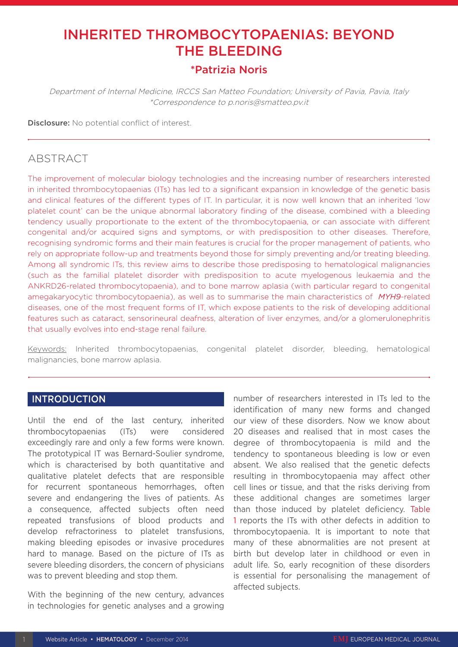# INHERITED THROMBOCYTOPAENIAS: BEYOND THE BLEEDING

# \*Patrizia Noris

Department of Internal Medicine, IRCCS San Matteo Foundation; University of Pavia, Pavia, Italy \*Correspondence to p.noris@smatteo.pv.it

Disclosure: No potential conflict of interest.

# ABSTRACT

The improvement of molecular biology technologies and the increasing number of researchers interested in inherited thrombocytopaenias (ITs) has led to a significant expansion in knowledge of the genetic basis and clinical features of the different types of IT. In particular, it is now well known that an inherited 'low platelet count' can be the unique abnormal laboratory finding of the disease, combined with a bleeding tendency usually proportionate to the extent of the thrombocytopaenia, or can associate with different congenital and/or acquired signs and symptoms, or with predisposition to other diseases. Therefore, recognising syndromic forms and their main features is crucial for the proper management of patients, who rely on appropriate follow-up and treatments beyond those for simply preventing and/or treating bleeding. Among all syndromic ITs, this review aims to describe those predisposing to hematological malignancies (such as the familial platelet disorder with predisposition to acute myelogenous leukaemia and the ANKRD26-related thrombocytopaenia), and to bone marrow aplasia (with particular regard to congenital amegakaryocytic thrombocytopaenia), as well as to summarise the main characteristics of *MYH9*-related diseases, one of the most frequent forms of IT, which expose patients to the risk of developing additional features such as cataract, sensorineural deafness, alteration of liver enzymes, and/or a glomerulonephritis that usually evolves into end-stage renal failure.

Keywords: Inherited thrombocytopaenias, congenital platelet disorder, bleeding, hematological malignancies, bone marrow aplasia.

### **INTRODUCTION**

Until the end of the last century, inherited thrombocytopaenias (ITs) were considered exceedingly rare and only a few forms were known. The prototypical IT was Bernard-Soulier syndrome, which is characterised by both quantitative and qualitative platelet defects that are responsible for recurrent spontaneous hemorrhages, often severe and endangering the lives of patients. As a consequence, affected subjects often need repeated transfusions of blood products and develop refractoriness to platelet transfusions, making bleeding episodes or invasive procedures hard to manage. Based on the picture of ITs as severe bleeding disorders, the concern of physicians was to prevent bleeding and stop them.

With the beginning of the new century, advances in technologies for genetic analyses and a growing

number of researchers interested in ITs led to the identification of many new forms and changed our view of these disorders. Now we know about 20 diseases and realised that in most cases the degree of thrombocytopaenia is mild and the tendency to spontaneous bleeding is low or even absent. We also realised that the genetic defects resulting in thrombocytopaenia may affect other cell lines or tissue, and that the risks deriving from these additional changes are sometimes larger than those induced by platelet deficiency. Table 1 reports the ITs with other defects in addition to thrombocytopaenia. It is important to note that many of these abnormalities are not present at birth but develop later in childhood or even in adult life. So, early recognition of these disorders is essential for personalising the management of affected subjects.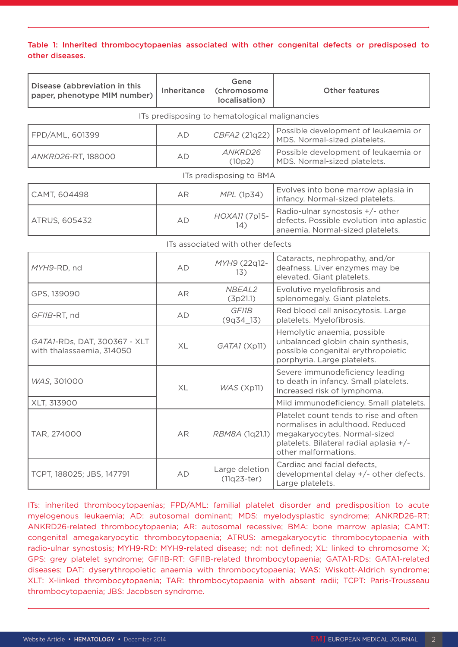#### Table 1: Inherited thrombocytopaenias associated with other congenital defects or predisposed to other diseases.

| Disease (abbreviation in this<br>paper, phenotype MIM number) | Inheritance | Gene<br>(chromosome<br>localisation) | <b>Other features</b>                                                                                                                                                         |
|---------------------------------------------------------------|-------------|--------------------------------------|-------------------------------------------------------------------------------------------------------------------------------------------------------------------------------|
| ITs predisposing to hematological malignancies                |             |                                      |                                                                                                                                                                               |
| FPD/AML, 601399                                               | AD          | CBFA2 (21q22)                        | Possible development of leukaemia or<br>MDS. Normal-sized platelets.                                                                                                          |
| ANKRD26-RT, 188000                                            | AD          | ANKRD26<br>(10p2)                    | Possible development of leukaemia or<br>MDS. Normal-sized platelets.                                                                                                          |
| ITs predisposing to BMA                                       |             |                                      |                                                                                                                                                                               |
| CAMT, 604498                                                  | AR          | MPL (1p34)                           | Evolves into bone marrow aplasia in<br>infancy. Normal-sized platelets.                                                                                                       |
| ATRUS, 605432                                                 | AD          | HOXA11 (7p15-<br>14)                 | Radio-ulnar synostosis +/- other<br>defects. Possible evolution into aplastic<br>anaemia. Normal-sized platelets.                                                             |
| ITs associated with other defects                             |             |                                      |                                                                                                                                                                               |
| MYH9-RD, nd                                                   | AD          | MYH9 (22q12-<br>13)                  | Cataracts, nephropathy, and/or<br>deafness. Liver enzymes may be<br>elevated. Giant platelets.                                                                                |
| GPS, 139090                                                   | AR          | NBEAL2<br>(3p21.1)                   | Evolutive myelofibrosis and<br>splenomegaly. Giant platelets.                                                                                                                 |
| GFI1B-RT, nd                                                  | AD          | GF11B<br>$(9q34_13)$                 | Red blood cell anisocytosis. Large<br>platelets. Myelofibrosis.                                                                                                               |
| GATA1-RDs, DAT, 300367 - XLT<br>with thalassaemia, 314050     | XL          | GATA1 (Xp11)                         | Hemolytic anaemia, possible<br>unbalanced globin chain synthesis,<br>possible congenital erythropoietic<br>porphyria. Large platelets.                                        |
| WAS, 301000                                                   | XL          | WAS (Xp11)                           | Severe immunodeficiency leading<br>to death in infancy. Small platelets.<br>Increased risk of lymphoma.                                                                       |
| XLT, 313900                                                   |             |                                      | Mild immunodeficiency. Small platelets.                                                                                                                                       |
| TAR, 274000                                                   | AR          | RBM8A (1q21.1)                       | Platelet count tends to rise and often<br>normalises in adulthood. Reduced<br>megakaryocytes. Normal-sized<br>platelets. Bilateral radial aplasia +/-<br>other malformations. |
| TCPT, 188025; JBS, 147791                                     | AD          | Large deletion<br>$(11q23-ter)$      | Cardiac and facial defects,<br>developmental delay +/- other defects.<br>Large platelets.                                                                                     |

ITs: inherited thrombocytopaenias; FPD/AML: familial platelet disorder and predisposition to acute myelogenous leukaemia; AD: autosomal dominant; MDS: myelodysplastic syndrome; ANKRD26-RT: ANKRD26-related thrombocytopaenia; AR: autosomal recessive; BMA: bone marrow aplasia; CAMT: congenital amegakaryocytic thrombocytopaenia; ATRUS: amegakaryocytic thrombocytopaenia with radio-ulnar synostosis; MYH9-RD: MYH9-related disease; nd: not defined; XL: linked to chromosome X; GPS: grey platelet syndrome; GFI1B-RT: GFI1B-related thrombocytopaenia; GATA1-RDs: GATA1-related diseases; DAT: dyserythropoietic anaemia with thrombocytopaenia; WAS: Wiskott-Aldrich syndrome; XLT: X-linked thrombocytopaenia; TAR: thrombocytopaenia with absent radii; TCPT: Paris-Trousseau thrombocytopaenia; JBS: Jacobsen syndrome.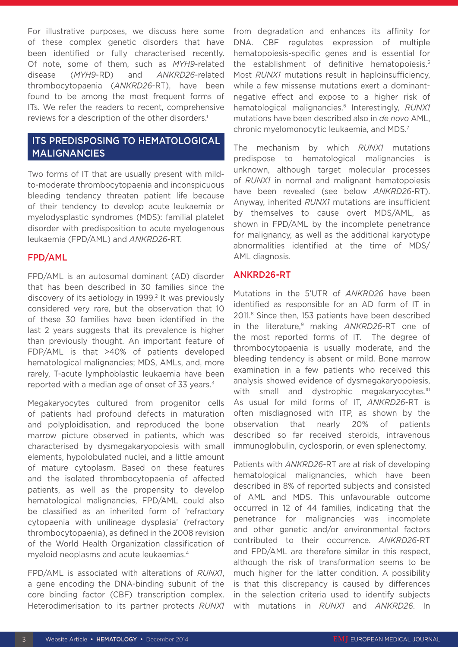For illustrative purposes, we discuss here some of these complex genetic disorders that have been identified or fully characterised recently. Of note, some of them, such as *MYH9*-related disease (*MYH9*-RD) and *ANKRD26*-related thrombocytopaenia (*ANKRD26*-RT), have been found to be among the most frequent forms of ITs. We refer the readers to recent, comprehensive reviews for a description of the other disorders.<sup>1</sup>

# ITS PREDISPOSING TO HEMATOLOGICAL MALIGNANCIES

Two forms of IT that are usually present with mildto-moderate thrombocytopaenia and inconspicuous bleeding tendency threaten patient life because of their tendency to develop acute leukaemia or myelodysplastic syndromes (MDS): familial platelet disorder with predisposition to acute myelogenous leukaemia (FPD/AML) and *ANKRD26*-RT.

#### FPD/AML

FPD/AML is an autosomal dominant (AD) disorder that has been described in 30 families since the discovery of its aetiology in 1999.<sup>2</sup> It was previously considered very rare, but the observation that 10 of these 30 families have been identified in the last 2 years suggests that its prevalence is higher than previously thought. An important feature of FDP/AML is that >40% of patients developed hematological malignancies; MDS, AMLs, and, more rarely, T-acute lymphoblastic leukaemia have been reported with a median age of onset of 33 years.<sup>3</sup>

Megakaryocytes cultured from progenitor cells of patients had profound defects in maturation and polyploidisation, and reproduced the bone marrow picture observed in patients, which was characterised by dysmegakaryopoiesis with small elements, hypolobulated nuclei, and a little amount of mature cytoplasm. Based on these features and the isolated thrombocytopaenia of affected patients, as well as the propensity to develop hematological malignancies, FPD/AML could also be classified as an inherited form of 'refractory cytopaenia with unilineage dysplasia' (refractory thrombocytopaenia), as defined in the 2008 revision of the World Health Organization classification of myeloid neoplasms and acute leukaemias.4

FPD/AML is associated with alterations of *RUNX1*, a gene encoding the DNA-binding subunit of the core binding factor (CBF) transcription complex. Heterodimerisation to its partner protects *RUNX1* from degradation and enhances its affinity for DNA. CBF regulates expression of multiple hematopoiesis-specific genes and is essential for the establishment of definitive hematopoiesis.<sup>5</sup> Most *RUNX1* mutations result in haploinsufficiency, while a few missense mutations exert a dominantnegative effect and expose to a higher risk of hematological malignancies.6 Interestingly, *RUNX1* mutations have been described also in *de novo* AML, chronic myelomonocytic leukaemia, and MDS.7

The mechanism by which *RUNX1* mutations predispose to hematological malignancies is unknown, although target molecular processes of *RUNX1* in normal and malignant hematopoiesis have been revealed (see below *ANKRD26*-RT). Anyway, inherited *RUNX1* mutations are insufficient by themselves to cause overt MDS/AML, as shown in FPD/AML by the incomplete penetrance for malignancy, as well as the additional karyotype abnormalities identified at the time of MDS/ AML diagnosis.

#### ANKRD26-RT

Mutations in the 5'UTR of *ANKRD26* have been identified as responsible for an AD form of IT in 2011.8 Since then, 153 patients have been described in the literature,<sup>9</sup> making *ANKRD26-RT* one of the most reported forms of IT. The degree of thrombocytopaenia is usually moderate, and the bleeding tendency is absent or mild. Bone marrow examination in a few patients who received this analysis showed evidence of dysmegakaryopoiesis, with small and dystrophic megakaryocytes.<sup>10</sup> As usual for mild forms of IT, *ANKRD26*-RT is often misdiagnosed with ITP, as shown by the observation that nearly 20% of patients described so far received steroids, intravenous immunoglobulin, cyclosporin, or even splenectomy.

Patients with *ANKRD26*-RT are at risk of developing hematological malignancies, which have been described in 8% of reported subjects and consisted of AML and MDS. This unfavourable outcome occurred in 12 of 44 families, indicating that the penetrance for malignancies was incomplete and other genetic and/or environmental factors contributed to their occurrence. *ANKRD26*-RT and FPD/AML are therefore similar in this respect, although the risk of transformation seems to be much higher for the latter condition. A possibility is that this discrepancy is caused by differences in the selection criteria used to identify subjects with mutations in *RUNX1* and *ANKRD26*. In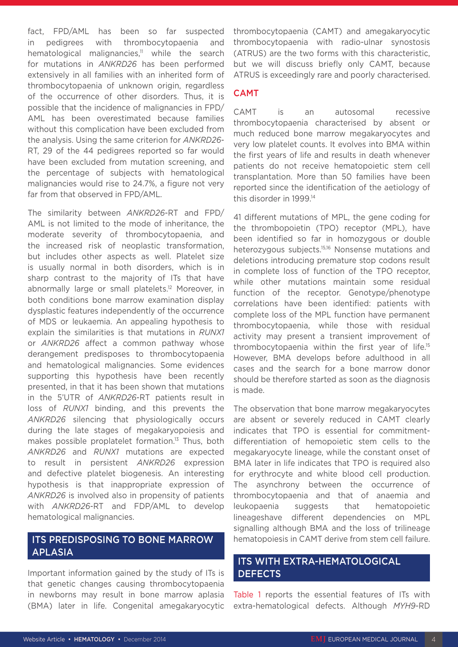fact, FPD/AML has been so far suspected in pedigrees with thrombocytopaenia and hematological malignancies, $11$  while the search for mutations in *ANKRD26* has been performed extensively in all families with an inherited form of thrombocytopaenia of unknown origin, regardless of the occurrence of other disorders. Thus, it is possible that the incidence of malignancies in FPD/ AML has been overestimated because families without this complication have been excluded from the analysis. Using the same criterion for *ANKRD26*- RT, 29 of the 44 pedigrees reported so far would have been excluded from mutation screening, and the percentage of subjects with hematological malignancies would rise to 24.7%, a figure not very far from that observed in FPD/AML.

The similarity between *ANKRD26*-RT and FPD/ AML is not limited to the mode of inheritance, the moderate severity of thrombocytopaenia, and the increased risk of neoplastic transformation, but includes other aspects as well. Platelet size is usually normal in both disorders, which is in sharp contrast to the majority of ITs that have abnormally large or small platelets.12 Moreover, in both conditions bone marrow examination display dysplastic features independently of the occurrence of MDS or leukaemia. An appealing hypothesis to explain the similarities is that mutations in *RUNX1*  or *ANKRD26* affect a common pathway whose derangement predisposes to thrombocytopaenia and hematological malignancies. Some evidences supporting this hypothesis have been recently presented, in that it has been shown that mutations in the 5'UTR of *ANKRD26*-RT patients result in loss of *RUNX1* binding, and this prevents the *ANKRD26* silencing that physiologically occurs during the late stages of megakaryopoiesis and makes possible proplatelet formation.13 Thus, both *ANKRD26* and *RUNX1* mutations are expected to result in persistent *ANKRD26* expression and defective platelet biogenesis. An interesting hypothesis is that inappropriate expression of *ANKRD26* is involved also in propensity of patients with *ANKRD26*-RT and FDP/AML to develop hematological malignancies.

## ITS PREDISPOSING TO BONE MARROW APLASIA

Important information gained by the study of ITs is that genetic changes causing thrombocytopaenia in newborns may result in bone marrow aplasia (BMA) later in life. Congenital amegakaryocytic thrombocytopaenia (CAMT) and amegakaryocytic thrombocytopaenia with radio-ulnar synostosis (ATRUS) are the two forms with this characteristic, but we will discuss briefly only CAMT, because ATRUS is exceedingly rare and poorly characterised.

## CAMT

CAMT is an autosomal recessive thrombocytopaenia characterised by absent or much reduced bone marrow megakaryocytes and very low platelet counts. It evolves into BMA within the first years of life and results in death whenever patients do not receive hematopoietic stem cell transplantation. More than 50 families have been reported since the identification of the aetiology of this disorder in 1999.14

41 different mutations of MPL, the gene coding for the thrombopoietin (TPO) receptor (MPL), have been identified so far in homozygous or double heterozygous subjects.15,16 Nonsense mutations and deletions introducing premature stop codons result in complete loss of function of the TPO receptor, while other mutations maintain some residual function of the receptor. Genotype/phenotype correlations have been identified: patients with complete loss of the MPL function have permanent thrombocytopaenia, while those with residual activity may present a transient improvement of thrombocytopaenia within the first year of life.15 However, BMA develops before adulthood in all cases and the search for a bone marrow donor should be therefore started as soon as the diagnosis is made.

The observation that bone marrow megakaryocytes are absent or severely reduced in CAMT clearly indicates that TPO is essential for commitmentdifferentiation of hemopoietic stem cells to the megakaryocyte lineage, while the constant onset of BMA later in life indicates that TPO is required also for erythrocyte and white blood cell production. The asynchrony between the occurrence of thrombocytopaenia and that of anaemia and leukopaenia suggests that hematopoietic lineageshave different dependencies on MPL signalling although BMA and the loss of trilineage hematopoiesis in CAMT derive from stem cell failure.

# ITS WITH EXTRA-HEMATOLOGICAL **DEFECTS**

Table 1 reports the essential features of ITs with extra-hematological defects. Although *MYH9*-RD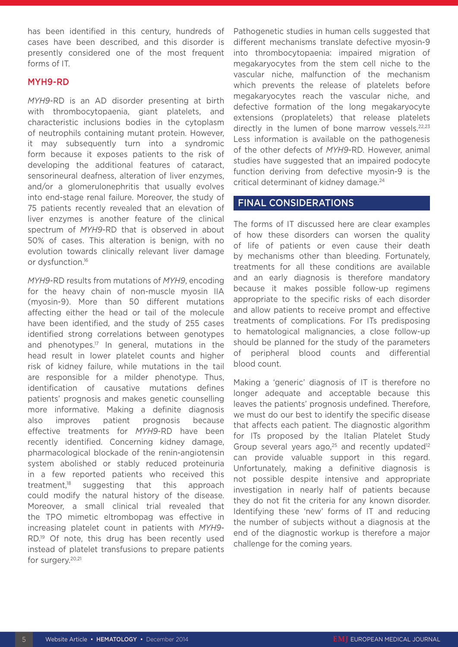has been identified in this century, hundreds of cases have been described, and this disorder is presently considered one of the most frequent forms of IT.

#### MYH9-RD

*MYH9*-RD is an AD disorder presenting at birth with thrombocytopaenia, giant platelets, and characteristic inclusions bodies in the cytoplasm of neutrophils containing mutant protein. However, it may subsequently turn into a syndromic form because it exposes patients to the risk of developing the additional features of cataract, sensorineural deafness, alteration of liver enzymes, and/or a glomerulonephritis that usually evolves into end-stage renal failure. Moreover, the study of 75 patients recently revealed that an elevation of liver enzymes is another feature of the clinical spectrum of *MYH9*-RD that is observed in about 50% of cases. This alteration is benign, with no evolution towards clinically relevant liver damage or dysfunction.<sup>16</sup>

*MYH9*-RD results from mutations of *MYH9*, encoding for the heavy chain of non-muscle myosin IIA (myosin-9). More than 50 different mutations affecting either the head or tail of the molecule have been identified, and the study of 255 cases identified strong correlations between genotypes and phenotypes.<sup>17</sup> In general, mutations in the head result in lower platelet counts and higher risk of kidney failure, while mutations in the tail are responsible for a milder phenotype. Thus, identification of causative mutations defines patients' prognosis and makes genetic counselling more informative. Making a definite diagnosis also improves patient prognosis because effective treatments for *MYH9*-RD have been recently identified. Concerning kidney damage, pharmacological blockade of the renin-angiotensin system abolished or stably reduced proteinuria in a few reported patients who received this treatment,<sup>18</sup> suggesting that this approach could modify the natural history of the disease. Moreover, a small clinical trial revealed that the TPO mimetic eltrombopag was effective in increasing platelet count in patients with *MYH9*- RD.19 Of note, this drug has been recently used instead of platelet transfusions to prepare patients for surgery.<sup>20,21</sup>

Pathogenetic studies in human cells suggested that different mechanisms translate defective myosin-9 into thrombocytopaenia: impaired migration of megakaryocytes from the stem cell niche to the vascular niche, malfunction of the mechanism which prevents the release of platelets before megakaryocytes reach the vascular niche, and defective formation of the long megakaryocyte extensions (proplatelets) that release platelets directly in the lumen of bone marrow vessels.<sup>22,23</sup> Less information is available on the pathogenesis of the other defects of *MYH9*-RD. However, animal studies have suggested that an impaired podocyte function deriving from defective myosin-9 is the critical determinant of kidney damage.<sup>24</sup>

#### FINAL CONSIDERATIONS

The forms of IT discussed here are clear examples of how these disorders can worsen the quality of life of patients or even cause their death by mechanisms other than bleeding. Fortunately, treatments for all these conditions are available and an early diagnosis is therefore mandatory because it makes possible follow-up regimens appropriate to the specific risks of each disorder and allow patients to receive prompt and effective treatments of complications. For ITs predisposing to hematological malignancies, a close follow-up should be planned for the study of the parameters of peripheral blood counts and differential blood count.

Making a 'generic' diagnosis of IT is therefore no longer adequate and acceptable because this leaves the patients' prognosis undefined. Therefore, we must do our best to identify the specific disease that affects each patient. The diagnostic algorithm for ITs proposed by the Italian Platelet Study Group several years ago, $25$  and recently updated<sup>12</sup> can provide valuable support in this regard. Unfortunately, making a definitive diagnosis is not possible despite intensive and appropriate investigation in nearly half of patients because they do not fit the criteria for any known disorder. Identifying these 'new' forms of IT and reducing the number of subjects without a diagnosis at the end of the diagnostic workup is therefore a major challenge for the coming years.